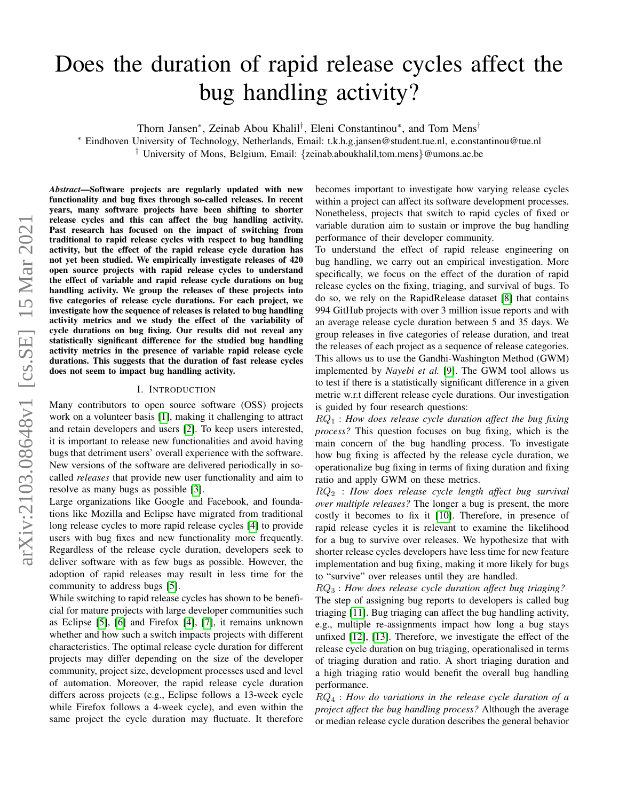# Does the duration of rapid release cycles affect the bug handling activity?

Thorn Jansen<sup>∗</sup>, Zeinab Abou Khalil<sup>†</sup>, Eleni Constantinou<sup>∗</sup>, and Tom Mens<sup>†</sup>

<sup>∗</sup> Eindhoven University of Technology, Netherlands, Email: t.k.h.g.jansen@student.tue.nl, e.constantinou@tue.nl † University of Mons, Belgium, Email: {zeinab.aboukhalil,tom.mens}@umons.ac.be

*Abstract*—Software projects are regularly updated with new functionality and bug fixes through so-called releases. In recent years, many software projects have been shifting to shorter release cycles and this can affect the bug handling activity. Past research has focused on the impact of switching from traditional to rapid release cycles with respect to bug handling activity, but the effect of the rapid release cycle duration has not yet been studied. We empirically investigate releases of 420 open source projects with rapid release cycles to understand the effect of variable and rapid release cycle durations on bug handling activity. We group the releases of these projects into five categories of release cycle durations. For each project, we investigate how the sequence of releases is related to bug handling activity metrics and we study the effect of the variability of cycle durations on bug fixing. Our results did not reveal any statistically significant difference for the studied bug handling activity metrics in the presence of variable rapid release cycle durations. This suggests that the duration of fast release cycles does not seem to impact bug handling activity.

#### I. INTRODUCTION

Many contributors to open source software (OSS) projects work on a volunteer basis [\[1\]](#page-7-0), making it challenging to attract and retain developers and users [\[2\]](#page-7-1). To keep users interested, it is important to release new functionalities and avoid having bugs that detriment users' overall experience with the software. New versions of the software are delivered periodically in socalled *releases* that provide new user functionality and aim to resolve as many bugs as possible [\[3\]](#page-7-2).

Large organizations like Google and Facebook, and foundations like Mozilla and Eclipse have migrated from traditional long release cycles to more rapid release cycles [\[4\]](#page-7-3) to provide users with bug fixes and new functionality more frequently. Regardless of the release cycle duration, developers seek to deliver software with as few bugs as possible. However, the adoption of rapid releases may result in less time for the community to address bugs [\[5\]](#page-7-4).

While switching to rapid release cycles has shown to be beneficial for mature projects with large developer communities such as Eclipse [\[5\]](#page-7-4), [\[6\]](#page-7-5) and Firefox [\[4\]](#page-7-3), [\[7\]](#page-7-6), it remains unknown whether and how such a switch impacts projects with different characteristics. The optimal release cycle duration for different projects may differ depending on the size of the developer community, project size, development processes used and level of automation. Moreover, the rapid release cycle duration differs across projects (e.g., Eclipse follows a 13-week cycle while Firefox follows a 4-week cycle), and even within the same project the cycle duration may fluctuate. It therefore becomes important to investigate how varying release cycles within a project can affect its software development processes. Nonetheless, projects that switch to rapid cycles of fixed or variable duration aim to sustain or improve the bug handling performance of their developer community.

To understand the effect of rapid release engineering on bug handling, we carry out an empirical investigation. More specifically, we focus on the effect of the duration of rapid release cycles on the fixing, triaging, and survival of bugs. To do so, we rely on the RapidRelease dataset [\[8\]](#page-7-7) that contains 994 GitHub projects with over 3 million issue reports and with an average release cycle duration between 5 and 35 days. We group releases in five categories of release duration, and treat the releases of each project as a sequence of release categories. This allows us to use the Gandhi-Washington Method (GWM) implemented by *Nayebi et al.* [\[9\]](#page-7-8). The GWM tool allows us to test if there is a statistically significant difference in a given metric w.r.t different release cycle durations. Our investigation is guided by four research questions:

RQ<sup>1</sup> : *How does release cycle duration affect the bug fixing process?* This question focuses on bug fixing, which is the main concern of the bug handling process. To investigate how bug fixing is affected by the release cycle duration, we operationalize bug fixing in terms of fixing duration and fixing ratio and apply GWM on these metrics.

RQ<sup>2</sup> : *How does release cycle length affect bug survival over multiple releases?* The longer a bug is present, the more costly it becomes to fix it [\[10\]](#page-7-9). Therefore, in presence of rapid release cycles it is relevant to examine the likelihood for a bug to survive over releases. We hypothesize that with shorter release cycles developers have less time for new feature implementation and bug fixing, making it more likely for bugs to "survive" over releases until they are handled.

RQ<sup>3</sup> : *How does release cycle duration affect bug triaging?* The step of assigning bug reports to developers is called bug triaging [\[11\]](#page-7-10). Bug triaging can affect the bug handling activity, e.g., multiple re-assignments impact how long a bug stays unfixed [\[12\]](#page-7-11), [\[13\]](#page-7-12). Therefore, we investigate the effect of the release cycle duration on bug triaging, operationalised in terms of triaging duration and ratio. A short triaging duration and a high triaging ratio would benefit the overall bug handling performance.

RQ<sup>4</sup> : *How do variations in the release cycle duration of a project affect the bug handling process?* Although the average or median release cycle duration describes the general behavior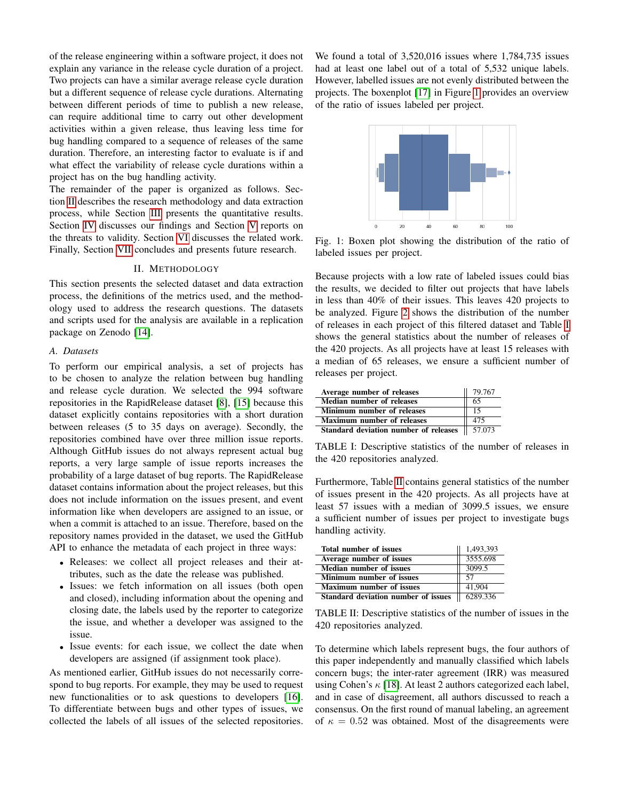of the release engineering within a software project, it does not explain any variance in the release cycle duration of a project. Two projects can have a similar average release cycle duration but a different sequence of release cycle durations. Alternating between different periods of time to publish a new release, can require additional time to carry out other development activities within a given release, thus leaving less time for bug handling compared to a sequence of releases of the same duration. Therefore, an interesting factor to evaluate is if and what effect the variability of release cycle durations within a project has on the bug handling activity.

The remainder of the paper is organized as follows. Section [II](#page-1-0) describes the research methodology and data extraction process, while Section [III](#page-3-0) presents the quantitative results. Section [IV](#page-5-0) discusses our findings and Section [V](#page-6-0) reports on the threats to validity. Section [VI](#page-6-1) discusses the related work. Finally, Section [VII](#page-7-13) concludes and presents future research.

## II. METHODOLOGY

<span id="page-1-0"></span>This section presents the selected dataset and data extraction process, the definitions of the metrics used, and the methodology used to address the research questions. The datasets and scripts used for the analysis are available in a replication package on Zenodo [\[14\]](#page-7-14).

## *A. Datasets*

To perform our empirical analysis, a set of projects has to be chosen to analyze the relation between bug handling and release cycle duration. We selected the 994 software repositories in the RapidRelease dataset [\[8\]](#page-7-7), [\[15\]](#page-7-15) because this dataset explicitly contains repositories with a short duration between releases (5 to 35 days on average). Secondly, the repositories combined have over three million issue reports. Although GitHub issues do not always represent actual bug reports, a very large sample of issue reports increases the probability of a large dataset of bug reports. The RapidRelease dataset contains information about the project releases, but this does not include information on the issues present, and event information like when developers are assigned to an issue, or when a commit is attached to an issue. Therefore, based on the repository names provided in the dataset, we used the GitHub API to enhance the metadata of each project in three ways:

- Releases: we collect all project releases and their attributes, such as the date the release was published.
- Issues: we fetch information on all issues (both open and closed), including information about the opening and closing date, the labels used by the reporter to categorize the issue, and whether a developer was assigned to the issue.
- Issue events: for each issue, we collect the date when developers are assigned (if assignment took place).

As mentioned earlier, GitHub issues do not necessarily correspond to bug reports. For example, they may be used to request new functionalities or to ask questions to developers [\[16\]](#page-7-16). To differentiate between bugs and other types of issues, we collected the labels of all issues of the selected repositories.

We found a total of 3,520,016 issues where 1,784,735 issues had at least one label out of a total of 5,532 unique labels. However, labelled issues are not evenly distributed between the projects. The boxenplot [\[17\]](#page-7-17) in Figure [1](#page-1-1) provides an overview of the ratio of issues labeled per project.

<span id="page-1-1"></span>

Fig. 1: Boxen plot showing the distribution of the ratio of labeled issues per project.

Because projects with a low rate of labeled issues could bias the results, we decided to filter out projects that have labels in less than 40% of their issues. This leaves 420 projects to be analyzed. Figure [2](#page-2-0) shows the distribution of the number of releases in each project of this filtered dataset and Table [I](#page-1-2) shows the general statistics about the number of releases of the 420 projects. As all projects have at least 15 releases with a median of 65 releases, we ensure a sufficient number of releases per project.

<span id="page-1-2"></span>

| Average number of releases            | 79.767             |
|---------------------------------------|--------------------|
| Median number of releases             | 65                 |
| <b>Minimum number of releases</b>     | 15                 |
| <b>Maximum number of releases</b>     | 475                |
| Standard deviation number of releases | $\parallel$ 57.073 |

TABLE I: Descriptive statistics of the number of releases in the 420 repositories analyzed.

Furthermore, Table [II](#page-1-3) contains general statistics of the number of issues present in the 420 projects. As all projects have at least 57 issues with a median of 3099.5 issues, we ensure a sufficient number of issues per project to investigate bugs handling activity.

<span id="page-1-3"></span>

| Total number of issues              | 1,493,393         |
|-------------------------------------|-------------------|
| Average number of issues            | 3555.698          |
| <b>Median number of issues</b>      | 3099.5            |
| Minimum number of issues            | 57                |
| <b>Maximum number of issues</b>     | 41,904            |
| Standard deviation number of issues | $\sqrt{6289.336}$ |

TABLE II: Descriptive statistics of the number of issues in the 420 repositories analyzed.

To determine which labels represent bugs, the four authors of this paper independently and manually classified which labels concern bugs; the inter-rater agreement (IRR) was measured using Cohen's  $\kappa$  [\[18\]](#page-7-18). At least 2 authors categorized each label, and in case of disagreement, all authors discussed to reach a consensus. On the first round of manual labeling, an agreement of  $\kappa = 0.52$  was obtained. Most of the disagreements were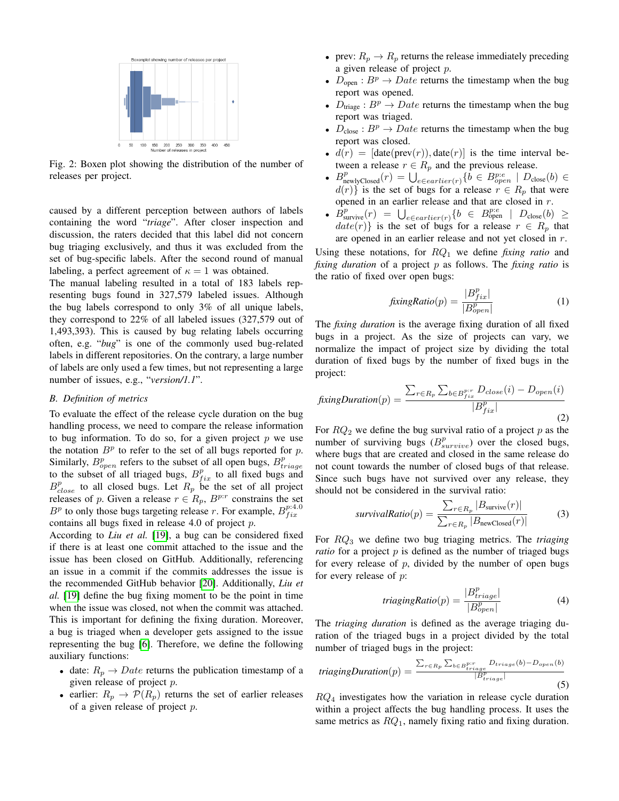<span id="page-2-0"></span>

Fig. 2: Boxen plot showing the distribution of the number of releases per project.

caused by a different perception between authors of labels containing the word "*triage*". After closer inspection and discussion, the raters decided that this label did not concern bug triaging exclusively, and thus it was excluded from the set of bug-specific labels. After the second round of manual labeling, a perfect agreement of  $\kappa = 1$  was obtained.

The manual labeling resulted in a total of 183 labels representing bugs found in 327,579 labeled issues. Although the bug labels correspond to only 3% of all unique labels, they correspond to 22% of all labeled issues (327,579 out of 1,493,393). This is caused by bug relating labels occurring often, e.g. "*bug*" is one of the commonly used bug-related labels in different repositories. On the contrary, a large number of labels are only used a few times, but not representing a large number of issues, e.g., "*version/1.1*".

## *B. Definition of metrics*

To evaluate the effect of the release cycle duration on the bug handling process, we need to compare the release information to bug information. To do so, for a given project  $p$  we use the notation  $B<sup>p</sup>$  to refer to the set of all bugs reported for p. Similarly,  $B_{open}^p$  refers to the subset of all open bugs,  $B_{triangle}^p$ to the subset of all triaged bugs,  $B_{fix}^p$  to all fixed bugs and  $B_{close}^p$  to all closed bugs. Let  $R_p$  be the set of all project releases of p. Given a release  $r \in R_p$ ,  $B^{p:r}$  constrains the set  $B<sup>p</sup>$  to only those bugs targeting release r. For example,  $B<sup>p:4.0</sup>$ contains all bugs fixed in release 4.0 of project  $p$ .

According to *Liu et al.* [\[19\]](#page-7-19), a bug can be considered fixed if there is at least one commit attached to the issue and the issue has been closed on GitHub. Additionally, referencing an issue in a commit if the commits addresses the issue is the recommended GitHub behavior [\[20\]](#page-7-20). Additionally, *Liu et al.* [\[19\]](#page-7-19) define the bug fixing moment to be the point in time when the issue was closed, not when the commit was attached. This is important for defining the fixing duration. Moreover, a bug is triaged when a developer gets assigned to the issue representing the bug [\[6\]](#page-7-5). Therefore, we define the following auxiliary functions:

- date:  $R_p \rightarrow Date$  returns the publication timestamp of a given release of project p.
- earlier:  $R_p \rightarrow \mathcal{P}(R_p)$  returns the set of earlier releases of a given release of project  $p$ .
- prev:  $R_p \rightarrow R_p$  returns the release immediately preceding a given release of project p.
- $D_{open}: B^p \to Date$  returns the timestamp when the bug report was opened.
- $D_{\text{triangle}} : B^p \to Date$  returns the timestamp when the bug report was triaged.
- $D_{\text{close}}: B^p \to Date$  returns the timestamp when the bug report was closed.
- $d(r) = [\text{date}(prev(r)), \text{date}(r)]$  is the time interval between a release  $r \in R_p$  and the previous release.
- $B_{\text{newlyClosed}}^p(r) = \bigcup_{e \in earlier(r)} \{ \tilde{b} \in B_{open}^{p:e} \mid D_{\text{close}}(b) \in$  $d(r)$  is the set of bugs for a release  $r \in R_p$  that were opened in an earlier release and that are closed in r.
- $\hat{B}_{\text{survive}}^p(r) = \bigcup_{e \in earlier(r)} \{b \in B_{\text{open}}^{p:e} \mid D_{\text{close}}(b) \geq$  $date(r)$  is the set of bugs for a release  $r \in R_p$  that are opened in an earlier release and not yet closed in r.

Using these notations, for RQ<sup>1</sup> we define *fixing ratio* and *fixing duration* of a project p as follows. The *fixing ratio* is the ratio of fixed over open bugs:

$$
fixingRatio(p) = \frac{|B_{fix}^p|}{|B_{open}^p|}
$$
 (1)

The *fixing duration* is the average fixing duration of all fixed bugs in a project. As the size of projects can vary, we normalize the impact of project size by dividing the total duration of fixed bugs by the number of fixed bugs in the project:

$$
fixingDuration(p) = \frac{\sum_{r \in R_p} \sum_{b \in B_{fix}^{p:r}} D_{close}(i) - D_{open}(i)}{|B_{fix}^p|}
$$
\n(2)

For  $RQ_2$  we define the bug survival ratio of a project p as the number of surviving bugs  $(B<sub>survive</sub><sup>p</sup>)$  over the closed bugs, where bugs that are created and closed in the same release do not count towards the number of closed bugs of that release. Since such bugs have not survived over any release, they should not be considered in the survival ratio:

$$
survivalRatio(p) = \frac{\sum_{r \in R_p} |B_{\text{survive}}(r)|}{\sum_{r \in R_p} |B_{\text{newClosed}}(r)|}
$$
(3)

For RQ<sup>3</sup> we define two bug triaging metrics. The *triaging ratio* for a project  $p$  is defined as the number of triaged bugs for every release of  $p$ , divided by the number of open bugs for every release of  $p$ :

$$
triagingRatio(p) = \frac{|B^p_{triangle}|}{|B^p_{open}|}
$$
\n(4)

The *triaging duration* is defined as the average triaging duration of the triaged bugs in a project divided by the total number of triaged bugs in the project:

$$
triagingDuration(p) = \frac{\sum_{r \in R_p} \sum_{b \in B^{p:r}_{triangle}(b)} Dr_{image}(b) - D_{open}(b)}{|B^{p}_{triangle}|}
$$
\n(5)

 $RQ_4$  investigates how the variation in release cycle duration within a project affects the bug handling process. It uses the same metrics as  $RQ_1$ , namely fixing ratio and fixing duration.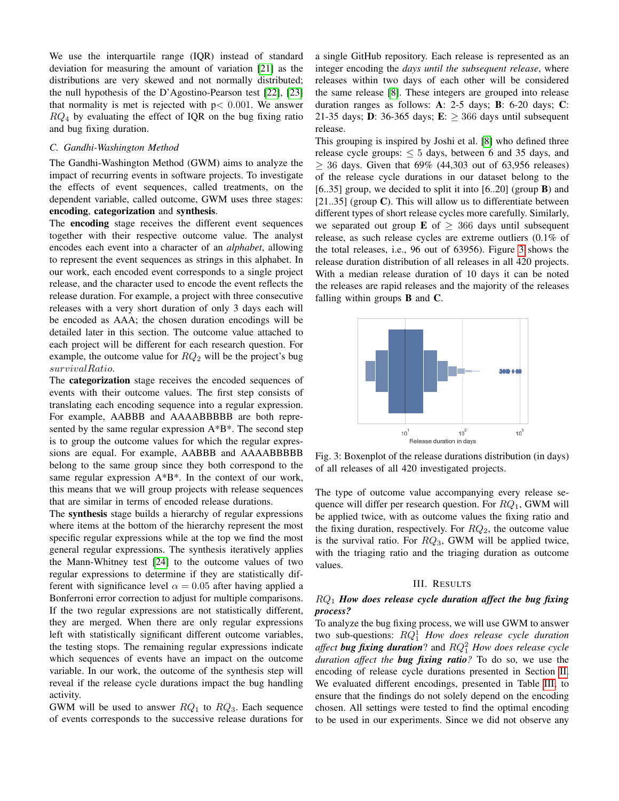We use the interquartile range (IQR) instead of standard deviation for measuring the amount of variation [\[21\]](#page-7-21) as the distributions are very skewed and not normally distributed; the null hypothesis of the D'Agostino-Pearson test [\[22\]](#page-7-22), [\[23\]](#page-7-23) that normality is met is rejected with  $p < 0.001$ . We answer  $RQ_4$  by evaluating the effect of IQR on the bug fixing ratio and bug fixing duration.

#### *C. Gandhi-Washington Method*

The Gandhi-Washington Method (GWM) aims to analyze the impact of recurring events in software projects. To investigate the effects of event sequences, called treatments, on the dependent variable, called outcome, GWM uses three stages: encoding, categorization and synthesis.

The encoding stage receives the different event sequences together with their respective outcome value. The analyst encodes each event into a character of an *alphabet*, allowing to represent the event sequences as strings in this alphabet. In our work, each encoded event corresponds to a single project release, and the character used to encode the event reflects the release duration. For example, a project with three consecutive releases with a very short duration of only 3 days each will be encoded as AAA; the chosen duration encodings will be detailed later in this section. The outcome value attached to each project will be different for each research question. For example, the outcome value for  $RQ_2$  will be the project's bug survivalRatio.

The **categorization** stage receives the encoded sequences of events with their outcome values. The first step consists of translating each encoding sequence into a regular expression. For example, AABBB and AAAABBBBB are both represented by the same regular expression A\*B\*. The second step is to group the outcome values for which the regular expressions are equal. For example, AABBB and AAAABBBBB belong to the same group since they both correspond to the same regular expression A\*B\*. In the context of our work, this means that we will group projects with release sequences that are similar in terms of encoded release durations.

The synthesis stage builds a hierarchy of regular expressions where items at the bottom of the hierarchy represent the most specific regular expressions while at the top we find the most general regular expressions. The synthesis iteratively applies the Mann-Whitney test [\[24\]](#page-7-24) to the outcome values of two regular expressions to determine if they are statistically different with significance level  $\alpha = 0.05$  after having applied a Bonferroni error correction to adjust for multiple comparisons. If the two regular expressions are not statistically different, they are merged. When there are only regular expressions left with statistically significant different outcome variables, the testing stops. The remaining regular expressions indicate which sequences of events have an impact on the outcome variable. In our work, the outcome of the synthesis step will reveal if the release cycle durations impact the bug handling activity.

GWM will be used to answer  $RQ_1$  to  $RQ_3$ . Each sequence of events corresponds to the successive release durations for a single GitHub repository. Each release is represented as an integer encoding the *days until the subsequent release*, where releases within two days of each other will be considered the same release [\[8\]](#page-7-7). These integers are grouped into release duration ranges as follows: A: 2-5 days; B: 6-20 days; C: 21-35 days; D: 36-365 days; E:  $\geq$  366 days until subsequent release.

This grouping is inspired by Joshi et al. [\[8\]](#page-7-7) who defined three release cycle groups:  $\leq 5$  days, between 6 and 35 days, and  $> 36$  days. Given that 69% (44,303 out of 63,956 releases) of the release cycle durations in our dataset belong to the [6..35] group, we decided to split it into  $[6..20]$  (group **B**) and  $[21..35]$  (group C). This will allow us to differentiate between different types of short release cycles more carefully. Similarly, we separated out group **E** of  $\geq$  366 days until subsequent release, as such release cycles are extreme outliers (0.1% of the total releases, i.e., 96 out of 63956). Figure [3](#page-3-1) shows the release duration distribution of all releases in all 420 projects. With a median release duration of 10 days it can be noted the releases are rapid releases and the majority of the releases falling within groups B and C.

<span id="page-3-1"></span>

Fig. 3: Boxenplot of the release durations distribution (in days) of all releases of all 420 investigated projects.

The type of outcome value accompanying every release sequence will differ per research question. For  $RQ_1$ , GWM will be applied twice, with as outcome values the fixing ratio and the fixing duration, respectively. For  $RQ_2$ , the outcome value is the survival ratio. For  $RQ_3$ , GWM will be applied twice, with the triaging ratio and the triaging duration as outcome values.

#### III. RESULTS

## <span id="page-3-0"></span>RQ<sup>1</sup> *How does release cycle duration affect the bug fixing process?*

To analyze the bug fixing process, we will use GWM to answer two sub-questions: RQ<sup>1</sup> <sup>1</sup> *How does release cycle duration affect bug fixing duration*? and  $RQ_1^2$  *How does release cycle duration affect the bug fixing ratio?* To do so, we use the encoding of release cycle durations presented in Section [II.](#page-1-0) We evaluated different encodings, presented in Table [III,](#page-4-0) to ensure that the findings do not solely depend on the encoding chosen. All settings were tested to find the optimal encoding to be used in our experiments. Since we did not observe any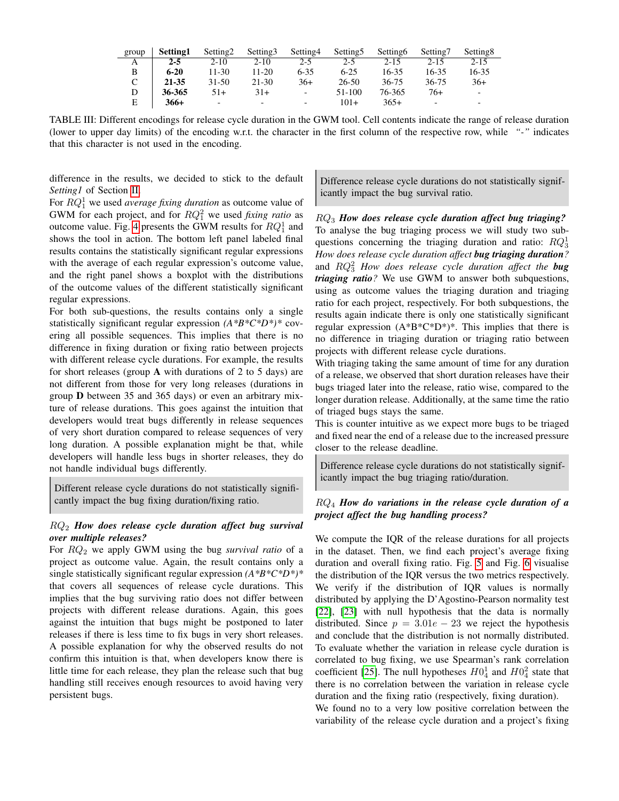<span id="page-4-0"></span>

| group | Setting1 | Setting <sub>2</sub> | Setting <sub>3</sub>     | Setting4                 | Setting 5 | Setting6  | Setting7                 | Setting <sub>8</sub>     |
|-------|----------|----------------------|--------------------------|--------------------------|-----------|-----------|--------------------------|--------------------------|
| А     | $2 - 5$  | $2 - 10$             | $2 - 10$                 | $2 - 5$                  | $2-5$     | $2 - 15$  | $2 - 15$                 | $2 - 15$                 |
| B     | $6 - 20$ | $11 - 30$            | $11-20$                  | $6 - 35$                 | $6 - 25$  | $16 - 35$ | 16-35                    | 16-35                    |
|       | 21-35    | $31 - 50$            | 21-30                    | $36+$                    | $26 - 50$ | 36-75     | 36-75                    | $36+$                    |
| D     | 36-365   | 51+                  | 31+                      | $\overline{\phantom{0}}$ | 51-100    | 76-365    | $76+$                    | $\overline{\phantom{a}}$ |
| E     | 366+     | -                    | $\overline{\phantom{a}}$ | $\overline{\phantom{0}}$ | $101+$    | $365+$    | $\overline{\phantom{0}}$ | $\overline{\phantom{0}}$ |

TABLE III: Different encodings for release cycle duration in the GWM tool. Cell contents indicate the range of release duration (lower to upper day limits) of the encoding w.r.t. the character in the first column of the respective row, while *"-"* indicates that this character is not used in the encoding.

difference in the results, we decided to stick to the default *Setting1* of Section [II.](#page-1-0)

For RQ<sup>1</sup> <sup>1</sup> we used *average fixing duration* as outcome value of GWM for each project, and for  $RQ_1^2$  we used *fixing ratio* as outcome value. Fig. [4](#page-5-1) presents the GWM results for  $RQ_1^1$  and shows the tool in action. The bottom left panel labeled final results contains the statistically significant regular expressions with the average of each regular expression's outcome value, and the right panel shows a boxplot with the distributions of the outcome values of the different statistically significant regular expressions.

For both sub-questions, the results contains only a single statistically significant regular expression *(A\*B\*C\*D\*)\** covering all possible sequences. This implies that there is no difference in fixing duration or fixing ratio between projects with different release cycle durations. For example, the results for short releases (group A with durations of 2 to 5 days) are not different from those for very long releases (durations in group D between 35 and 365 days) or even an arbitrary mixture of release durations. This goes against the intuition that developers would treat bugs differently in release sequences of very short duration compared to release sequences of very long duration. A possible explanation might be that, while developers will handle less bugs in shorter releases, they do not handle individual bugs differently.

Different release cycle durations do not statistically significantly impact the bug fixing duration/fixing ratio.

## RQ<sup>2</sup> *How does release cycle duration affect bug survival over multiple releases?*

For RQ<sup>2</sup> we apply GWM using the bug *survival ratio* of a project as outcome value. Again, the result contains only a single statistically significant regular expression *(A\*B\*C\*D\*)\** that covers all sequences of release cycle durations. This implies that the bug surviving ratio does not differ between projects with different release durations. Again, this goes against the intuition that bugs might be postponed to later releases if there is less time to fix bugs in very short releases. A possible explanation for why the observed results do not confirm this intuition is that, when developers know there is little time for each release, they plan the release such that bug handling still receives enough resources to avoid having very persistent bugs.

Difference release cycle durations do not statistically significantly impact the bug survival ratio.

RQ<sup>3</sup> *How does release cycle duration affect bug triaging?* To analyse the bug triaging process we will study two subquestions concerning the triaging duration and ratio:  $RQ_3^1$ *How does release cycle duration affect bug triaging duration?* and RQ<sup>2</sup> <sup>3</sup> *How does release cycle duration affect the bug triaging ratio?* We use GWM to answer both subquestions, using as outcome values the triaging duration and triaging ratio for each project, respectively. For both subquestions, the results again indicate there is only one statistically significant regular expression  $(A*B*C*D*)^*$ . This implies that there is no difference in triaging duration or triaging ratio between projects with different release cycle durations.

With triaging taking the same amount of time for any duration of a release, we observed that short duration releases have their bugs triaged later into the release, ratio wise, compared to the longer duration release. Additionally, at the same time the ratio of triaged bugs stays the same.

This is counter intuitive as we expect more bugs to be triaged and fixed near the end of a release due to the increased pressure closer to the release deadline.

Difference release cycle durations do not statistically significantly impact the bug triaging ratio/duration.

# RQ<sup>4</sup> *How do variations in the release cycle duration of a project affect the bug handling process?*

We compute the IQR of the release durations for all projects in the dataset. Then, we find each project's average fixing duration and overall fixing ratio. Fig. [5](#page-5-2) and Fig. [6](#page-5-3) visualise the distribution of the IQR versus the two metrics respectively. We verify if the distribution of IQR values is normally distributed by applying the D'Agostino-Pearson normality test [\[22\]](#page-7-22), [\[23\]](#page-7-23) with null hypothesis that the data is normally distributed. Since  $p = 3.01e - 23$  we reject the hypothesis and conclude that the distribution is not normally distributed. To evaluate whether the variation in release cycle duration is correlated to bug fixing, we use Spearman's rank correlation coefficient [\[25\]](#page-7-25). The null hypotheses  $H0<sub>4</sub><sup>1</sup>$  and  $H0<sub>4</sub><sup>2</sup>$  state that there is no correlation between the variation in release cycle duration and the fixing ratio (respectively, fixing duration).

We found no to a very low positive correlation between the variability of the release cycle duration and a project's fixing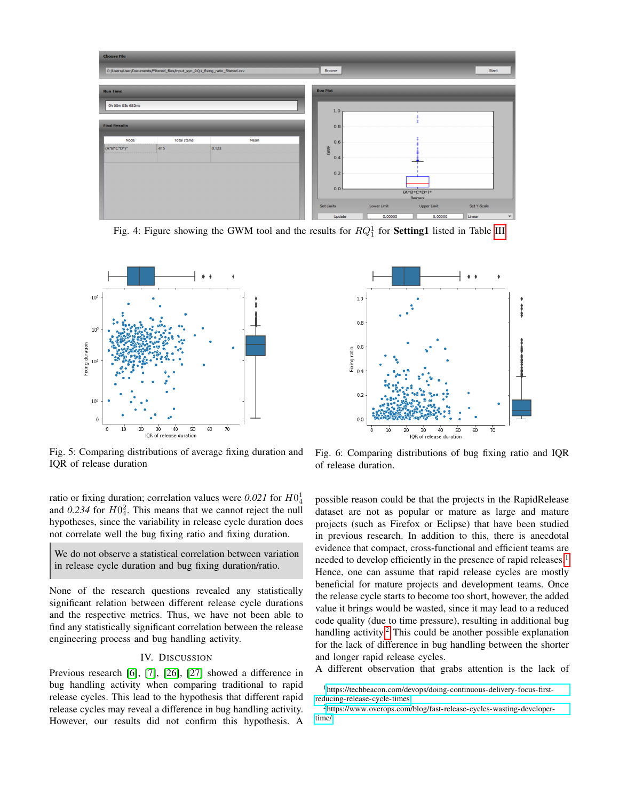<span id="page-5-1"></span>

Fig. 4: Figure showing the GWM tool and the results for  $RQ_1^1$  for **Setting1** listed in Table [III](#page-4-0)

<span id="page-5-2"></span>

Fig. 5: Comparing distributions of average fixing duration and IQR of release duration

ratio or fixing duration; correlation values were  $0.021$  for  $H0<sub>4</sub><sup>1</sup>$ and  $0.234$  for  $H0<sub>4</sub><sup>2</sup>$ . This means that we cannot reject the null hypotheses, since the variability in release cycle duration does not correlate well the bug fixing ratio and fixing duration.

We do not observe a statistical correlation between variation in release cycle duration and bug fixing duration/ratio.

None of the research questions revealed any statistically significant relation between different release cycle durations and the respective metrics. Thus, we have not been able to find any statistically significant correlation between the release engineering process and bug handling activity.

## IV. DISCUSSION

<span id="page-5-0"></span>Previous research [\[6\]](#page-7-5), [\[7\]](#page-7-6), [\[26\]](#page-7-26), [\[27\]](#page-7-27) showed a difference in bug handling activity when comparing traditional to rapid release cycles. This lead to the hypothesis that different rapid release cycles may reveal a difference in bug handling activity. However, our results did not confirm this hypothesis. A

<span id="page-5-3"></span>

Fig. 6: Comparing distributions of bug fixing ratio and IQR of release duration.

possible reason could be that the projects in the RapidRelease dataset are not as popular or mature as large and mature projects (such as Firefox or Eclipse) that have been studied in previous research. In addition to this, there is anecdotal evidence that compact, cross-functional and efficient teams are needed to develop efficiently in the presence of rapid releases.<sup>[1](#page-5-4)</sup> Hence, one can assume that rapid release cycles are mostly beneficial for mature projects and development teams. Once the release cycle starts to become too short, however, the added value it brings would be wasted, since it may lead to a reduced code quality (due to time pressure), resulting in additional bug handling activity. $^2$  $^2$  This could be another possible explanation for the lack of difference in bug handling between the shorter and longer rapid release cycles.

A different observation that grabs attention is the lack of

<span id="page-5-4"></span><sup>1</sup>https://techbeacon.[com/devops/doing-continuous-delivery-focus-first](https://techbeacon.com/devops/doing-continuous-delivery-focus-first-reducing-release-cycle-times)[reducing-release-cycle-times](https://techbeacon.com/devops/doing-continuous-delivery-focus-first-reducing-release-cycle-times)

<span id="page-5-5"></span><sup>2</sup>https://www.overops.[com/blog/fast-release-cycles-wasting-developer](https://www.overops.com/blog/fast-release-cycles-wasting-developer-time/)[time/](https://www.overops.com/blog/fast-release-cycles-wasting-developer-time/)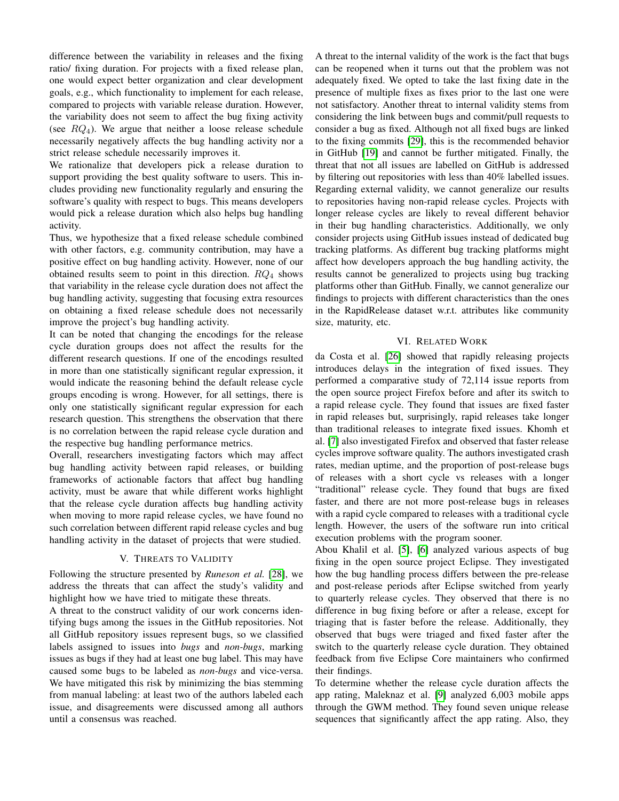difference between the variability in releases and the fixing ratio/ fixing duration. For projects with a fixed release plan, one would expect better organization and clear development goals, e.g., which functionality to implement for each release, compared to projects with variable release duration. However, the variability does not seem to affect the bug fixing activity (see  $RQ_4$ ). We argue that neither a loose release schedule necessarily negatively affects the bug handling activity nor a strict release schedule necessarily improves it.

We rationalize that developers pick a release duration to support providing the best quality software to users. This includes providing new functionality regularly and ensuring the software's quality with respect to bugs. This means developers would pick a release duration which also helps bug handling activity.

Thus, we hypothesize that a fixed release schedule combined with other factors, e.g. community contribution, may have a positive effect on bug handling activity. However, none of our obtained results seem to point in this direction.  $RQ_4$  shows that variability in the release cycle duration does not affect the bug handling activity, suggesting that focusing extra resources on obtaining a fixed release schedule does not necessarily improve the project's bug handling activity.

It can be noted that changing the encodings for the release cycle duration groups does not affect the results for the different research questions. If one of the encodings resulted in more than one statistically significant regular expression, it would indicate the reasoning behind the default release cycle groups encoding is wrong. However, for all settings, there is only one statistically significant regular expression for each research question. This strengthens the observation that there is no correlation between the rapid release cycle duration and the respective bug handling performance metrics.

Overall, researchers investigating factors which may affect bug handling activity between rapid releases, or building frameworks of actionable factors that affect bug handling activity, must be aware that while different works highlight that the release cycle duration affects bug handling activity when moving to more rapid release cycles, we have found no such correlation between different rapid release cycles and bug handling activity in the dataset of projects that were studied.

## V. THREATS TO VALIDITY

<span id="page-6-0"></span>Following the structure presented by *Runeson et al.* [\[28\]](#page-7-28), we address the threats that can affect the study's validity and highlight how we have tried to mitigate these threats.

A threat to the construct validity of our work concerns identifying bugs among the issues in the GitHub repositories. Not all GitHub repository issues represent bugs, so we classified labels assigned to issues into *bugs* and *non-bugs*, marking issues as bugs if they had at least one bug label. This may have caused some bugs to be labeled as *non-bugs* and vice-versa. We have mitigated this risk by minimizing the bias stemming from manual labeling: at least two of the authors labeled each issue, and disagreements were discussed among all authors until a consensus was reached.

A threat to the internal validity of the work is the fact that bugs can be reopened when it turns out that the problem was not adequately fixed. We opted to take the last fixing date in the presence of multiple fixes as fixes prior to the last one were not satisfactory. Another threat to internal validity stems from considering the link between bugs and commit/pull requests to consider a bug as fixed. Although not all fixed bugs are linked to the fixing commits [\[29\]](#page-7-29), this is the recommended behavior in GitHub [\[19\]](#page-7-19) and cannot be further mitigated. Finally, the threat that not all issues are labelled on GitHub is addressed by filtering out repositories with less than 40% labelled issues. Regarding external validity, we cannot generalize our results to repositories having non-rapid release cycles. Projects with longer release cycles are likely to reveal different behavior in their bug handling characteristics. Additionally, we only consider projects using GitHub issues instead of dedicated bug tracking platforms. As different bug tracking platforms might affect how developers approach the bug handling activity, the results cannot be generalized to projects using bug tracking platforms other than GitHub. Finally, we cannot generalize our findings to projects with different characteristics than the ones in the RapidRelease dataset w.r.t. attributes like community size, maturity, etc.

## VI. RELATED WORK

<span id="page-6-1"></span>da Costa et al. [\[26\]](#page-7-26) showed that rapidly releasing projects introduces delays in the integration of fixed issues. They performed a comparative study of 72,114 issue reports from the open source project Firefox before and after its switch to a rapid release cycle. They found that issues are fixed faster in rapid releases but, surprisingly, rapid releases take longer than traditional releases to integrate fixed issues. Khomh et al. [\[7\]](#page-7-6) also investigated Firefox and observed that faster release cycles improve software quality. The authors investigated crash rates, median uptime, and the proportion of post-release bugs of releases with a short cycle vs releases with a longer "traditional" release cycle. They found that bugs are fixed faster, and there are not more post-release bugs in releases with a rapid cycle compared to releases with a traditional cycle length. However, the users of the software run into critical execution problems with the program sooner.

Abou Khalil et al. [\[5\]](#page-7-4), [\[6\]](#page-7-5) analyzed various aspects of bug fixing in the open source project Eclipse. They investigated how the bug handling process differs between the pre-release and post-release periods after Eclipse switched from yearly to quarterly release cycles. They observed that there is no difference in bug fixing before or after a release, except for triaging that is faster before the release. Additionally, they observed that bugs were triaged and fixed faster after the switch to the quarterly release cycle duration. They obtained feedback from five Eclipse Core maintainers who confirmed their findings.

To determine whether the release cycle duration affects the app rating, Maleknaz et al. [\[9\]](#page-7-8) analyzed 6,003 mobile apps through the GWM method. They found seven unique release sequences that significantly affect the app rating. Also, they